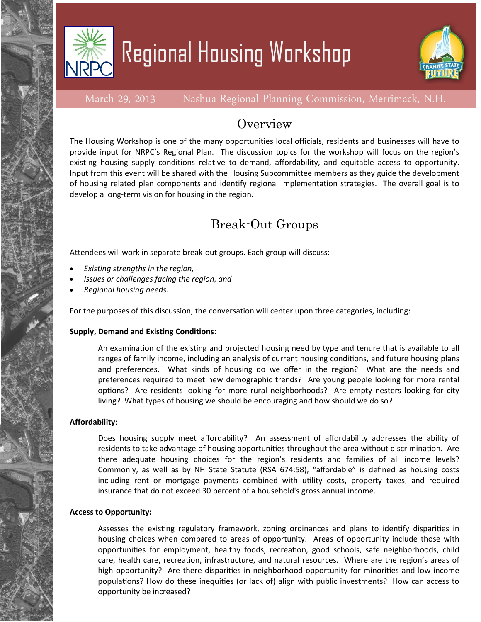

## Regional Housing Workshop



March 29, 2013 Nashua Regional Planning Commission, Merrimack, N.H.

### **Overview**

The Housing Workshop is one of the many opportunities local officials, residents and businesses will have to provide input for NRPC's Regional Plan. The discussion topics for the workshop will focus on the region's existing housing supply conditions relative to demand, affordability, and equitable access to opportunity. Input from this event will be shared with the Housing Subcommittee members as they guide the development of housing related plan components and identify regional implementation strategies. The overall goal is to develop a long-term vision for housing in the region.

## Break-Out Groups

Attendees will work in separate break-out groups. Each group will discuss:

- *Existing strengths in the region,*
- *Issues or challenges facing the region, and*
- *Regional housing needs.*

For the purposes of this discussion, the conversation will center upon three categories, including:

#### **Supply, Demand and Existing Conditions**:

An examination of the existing and projected housing need by type and tenure that is available to all ranges of family income, including an analysis of current housing conditions, and future housing plans and preferences. What kinds of housing do we offer in the region? What are the needs and preferences required to meet new demographic trends? Are young people looking for more rental options? Are residents looking for more rural neighborhoods? Are empty nesters looking for city living? What types of housing we should be encouraging and how should we do so?

#### **Affordability**:

Does housing supply meet affordability? An assessment of affordability addresses the ability of residents to take advantage of housing opportunities throughout the area without discrimination. Are there adequate housing choices for the region's residents and families of all income levels? Commonly, as well as by NH State Statute (RSA 674:58), "affordable" is defined as housing costs including rent or mortgage payments combined with utility costs, property taxes, and required insurance that do not exceed 30 percent of a household's gross annual income.

#### **Access to Opportunity:**

Assesses the existing regulatory framework, zoning ordinances and plans to identify disparities in housing choices when compared to areas of opportunity. Areas of opportunity include those with opportunities for employment, healthy foods, recreation, good schools, safe neighborhoods, child care, health care, recreation, infrastructure, and natural resources. Where are the region's areas of high opportunity? Are there disparities in neighborhood opportunity for minorities and low income populations? How do these inequities (or lack of) align with public investments? How can access to opportunity be increased?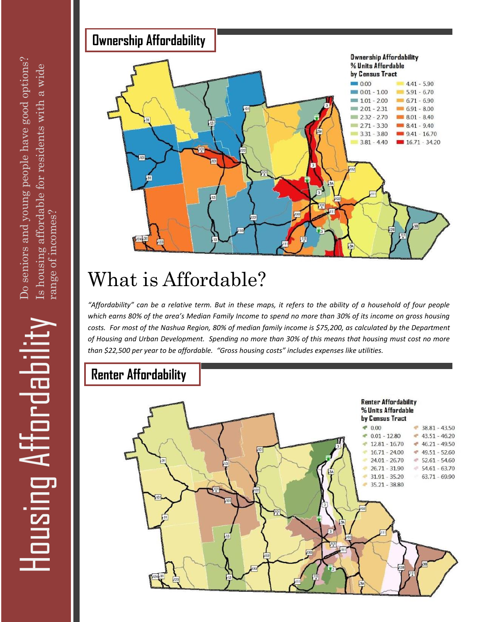Housing Affordabilit



## What is Affordable?

*"Affordability" can be a relative term. But in these maps, it refers to the ability of a household of four people which earns 80% of the area's Median Family Income to spend no more than 30% of its income on gross housing costs. For most of the Nashua Region, 80% of median family income is \$75,200, as calculated by the Department of Housing and Urban Development. Spending no more than 30% of this means that housing must cost no more than \$22,500 per year to be affordable. "Gross housing costs" includes expenses like utilities.*

## **Renter Affordability**

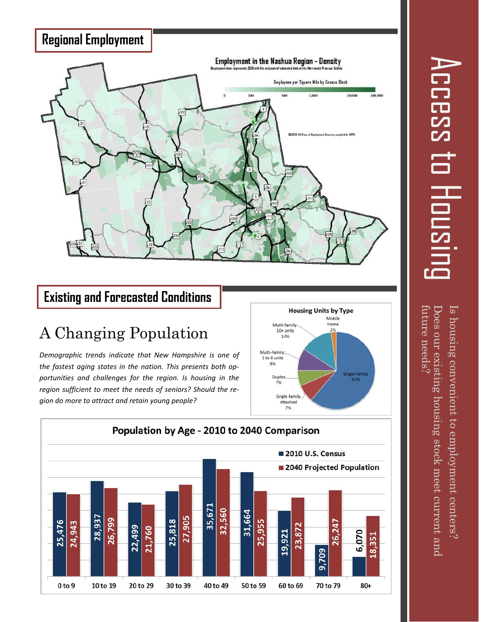

### **Existing and Forecasted Conditions**

## A Changing Population

*Demographic trends indicate that New Hampshire is one of the fastest aging states in the nation. This presents both opportunities and challenges for the region. Is housing in the region sufficient to meet the needs of seniors? Should the region do more to attract and retain young people?* 





 ${\rm future}$  needs? Is housing convenient to employment centers?<br>Does our existing housing stock meet current and<br>future needs?  $\left\lceil \text{s} \right\rceil$  housing convenient to employment centers? Does our existing housing stock meet current and